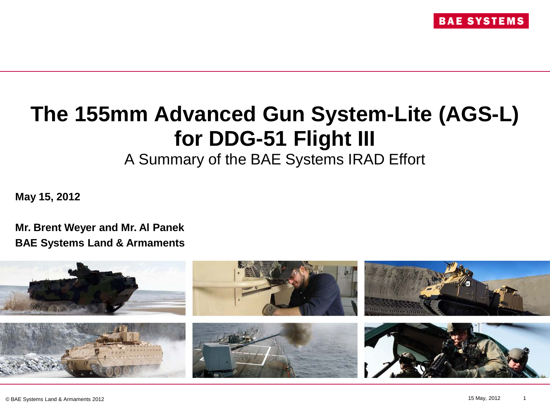

# **The 155mm Advanced Gun System-Lite (AGS-L) for DDG-51 Flight III**

A Summary of the BAE Systems IRAD Effort

**May 15, 2012**

**Mr. Brent Weyer and Mr. Al Panek BAE Systems Land & Armaments**

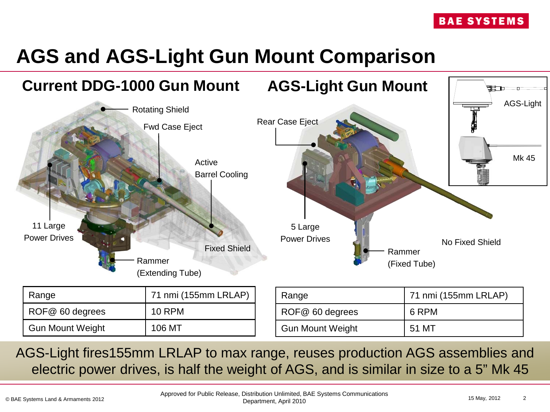## **AGS and AGS-Light Gun Mount Comparison**



AGS-Light fires155mm LRLAP to max range, reuses production AGS assemblies and electric power drives, is half the weight of AGS, and is similar in size to a 5" Mk 45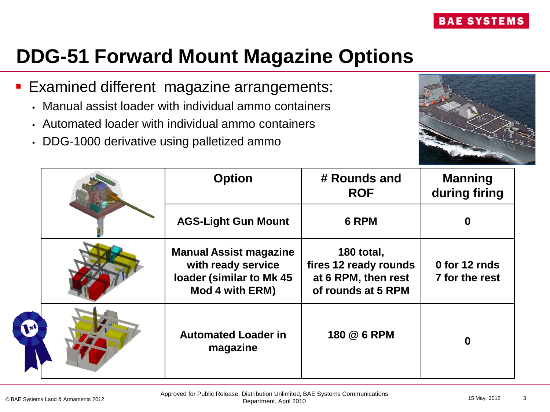### **DDG-51 Forward Mount Magazine Options**

- **Examined different magazine arrangements:** 
	- Manual assist loader with individual ammo containers
	- Automated loader with individual ammo containers
	- DDG-1000 derivative using palletized ammo



|              | <b>Option</b>                                                                                      | # Rounds and<br><b>ROF</b>                                                       | <b>Manning</b><br>during firing |
|--------------|----------------------------------------------------------------------------------------------------|----------------------------------------------------------------------------------|---------------------------------|
|              | <b>AGS-Light Gun Mount</b>                                                                         | 6 RPM                                                                            | 0                               |
|              | <b>Manual Assist magazine</b><br>with ready service<br>loader (similar to Mk 45<br>Mod 4 with ERM) | 180 total,<br>fires 12 ready rounds<br>at 6 RPM, then rest<br>of rounds at 5 RPM | 0 for 12 rnds<br>7 for the rest |
| $\mathbf{F}$ | <b>Automated Loader in</b><br>magazine                                                             | 180 @ 6 RPM                                                                      | $\bf{0}$                        |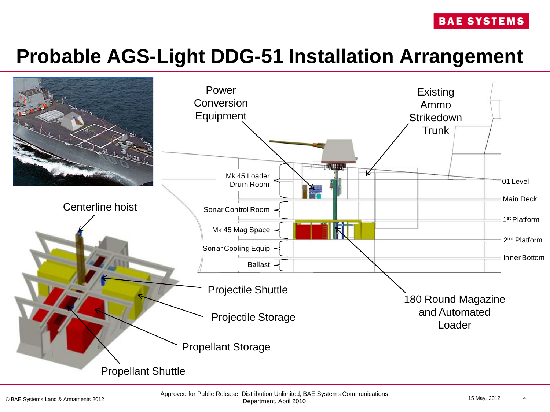#### **BAE SYSTEMS**

### **Probable AGS-Light DDG-51 Installation Arrangement**